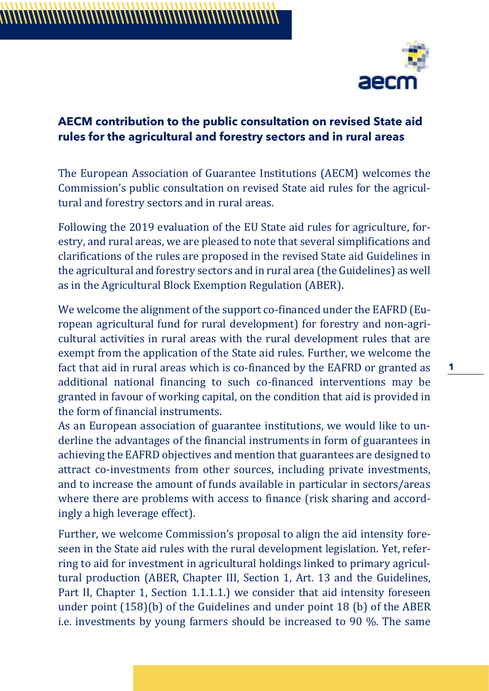

## **AECM contribution to the public consultation on revised State aid rules for the agricultural and forestry sectors and in rural areas**

The European Association of Guarantee Institutions (AECM) welcomes the Commission's public consultation on revised State aid rules for the agricultural and forestry sectors and in rural areas.

Following the 2019 evaluation of the EU State aid rules for agriculture, forestry, and rural areas, we are pleased to note that several simplifications and clarifications of the rules are proposed in the revised State aid Guidelines in the agricultural and forestry sectors and in rural area (the Guidelines) as well as in the Agricultural Block Exemption Regulation (ABER).

We welcome the alignment of the support co-financed under the EAFRD (European agricultural fund for rural development) for forestry and non-agricultural activities in rural areas with the rural development rules that are exempt from the application of the State aid rules. Further, we welcome the fact that aid in rural areas which is co-financed by the EAFRD or granted as additional national financing to such co-financed interventions may be granted in favour of working capital, on the condition that aid is provided in the form of financial instruments.

As an European association of guarantee institutions, we would like to underline the advantages of the financial instruments in form of guarantees in achieving the EAFRD objectives and mention that guarantees are designed to attract co-investments from other sources, including private investments, and to increase the amount of funds available in particular in sectors/areas where there are problems with access to finance (risk sharing and accordingly a high leverage effect).

Further, we welcome Commission's proposal to align the aid intensity foreseen in the State aid rules with the rural development legislation. Yet, referring to aid for investment in agricultural holdings linked to primary agricultural production (ABER, Chapter III, Section 1, Art. 13 and the Guidelines, Part II, Chapter 1, Section 1.1.1.1.) we consider that aid intensity foreseen under point (158)(b) of the Guidelines and under point 18 (b) of the ABER i.e. investments by young farmers should be increased to 90 %. The same

**1**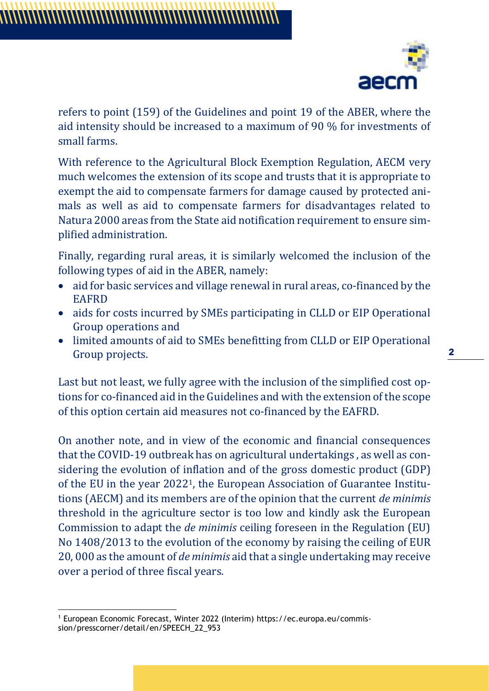

refers to point (159) of the Guidelines and point 19 of the ABER, where the aid intensity should be increased to a maximum of 90 % for investments of small farms.

With reference to the Agricultural Block Exemption Regulation, AECM very much welcomes the extension of its scope and trusts that it is appropriate to exempt the aid to compensate farmers for damage caused by protected animals as well as aid to compensate farmers for disadvantages related to Natura 2000 areas from the State aid notification requirement to ensure simplified administration.

Finally, regarding rural areas, it is similarly welcomed the inclusion of the following types of aid in the ABER, namely:

- aid for basic services and village renewal in rural areas, co-financed by the EAFRD
- aids for costs incurred by SMEs participating in CLLD or EIP Operational Group operations and
- limited amounts of aid to SMEs benefitting from CLLD or EIP Operational Group projects.

Last but not least, we fully agree with the inclusion of the simplified cost options for co-financed aid in the Guidelines and with the extension of the scope of this option certain aid measures not co-financed by the EAFRD.

On another note, and in view of the economic and financial consequences that the COVID-19 outbreak has on agricultural undertakings , as well as considering the evolution of inflation and of the gross domestic product (GDP) of the EU in the year 20221, the European Association of Guarantee Institutions (AECM) and its members are of the opinion that the current *de minimis* threshold in the agriculture sector is too low and kindly ask the European Commission to adapt the *de minimis* ceiling foreseen in the Regulation (EU) No 1408/2013 to the evolution of the economy by raising the ceiling of EUR 20, 000 as the amount of *de minimis* aid that a single undertaking may receive over a period of three fiscal years.

**2**

<sup>1</sup> European Economic Forecast, Winter 2022 (Interim) https://ec.europa.eu/commission/presscorner/detail/en/SPEECH\_22\_953